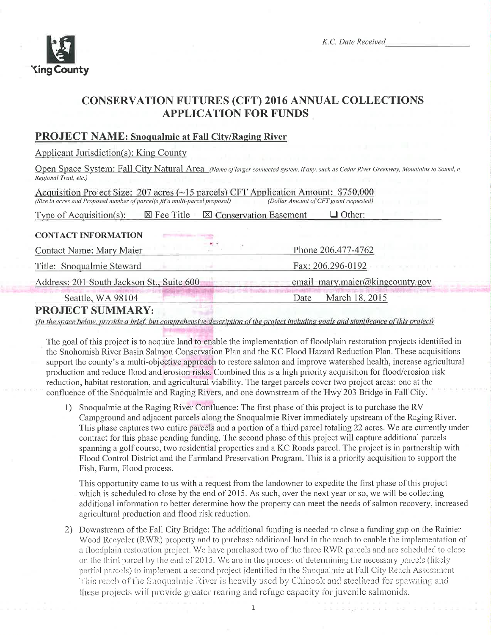

# **CONSERVATION FUTURES (CFT) 2016 ANNUAL COLLECTIONS APPLICATION FOR FUNDS**

## **PROJECT NAME: Snoqualmie at Fall City/Raging River**

**Applicant Jurisdiction(s): King County** 

Open Space System: Fall City Natural Area (Name of larger connected system, if any, such as Cedar River Greenway, Mountains to Sound, a Regional Trail, etc.)

Acquisition Project Size: 207 acres (~15 parcels) CFT Application Amount: \$750,000 (Size in acres and Proposed number of parcel(s) if a multi-parcel proposal) (Dollar Amount of CFT grant requested)

**区 Fee Title ⊠ Conservation Easement** Type of Acquisition $(s)$ :  $\Box$  Other:

#### **CONTACT INFORMATION**

**Contact Name: Mary Maier** 

Title: Snoqualmie Steward

Address: 201 South Jackson St., Suite 600 email mary.maier@kingcounty.gov

Seattle, WA 98104

Date March 18, 2015

Phone 206.477-4762

Fax: 206.296-0192

# **PROJECT SUMMARY:**

(In the space below, provide a brief, but comprehensive description of the project including goals and significance of this project)

The goal of this project is to acquire land to enable the implementation of floodplain restoration projects identified in the Snohomish River Basin Salmon Conservation Plan and the KC Flood Hazard Reduction Plan. These acquisitions support the county's a multi-objective approach to restore salmon and improve watershed health, increase agricultural production and reduce flood and erosion risks. Combined this is a high priority acquisition for flood/erosion risk reduction, habitat restoration, and agricultural viability. The target parcels cover two project areas: one at the confluence of the Snoqualmie and Raging Rivers, and one downstream of the Hwy 203 Bridge in Fall City.

1) Snoqualmie at the Raging River Confluence: The first phase of this project is to purchase the RV Campground and adjacent parcels along the Snoqualmie River immediately upstream of the Raging River. This phase captures two entire parcels and a portion of a third parcel totaling 22 acres. We are currently under contract for this phase pending funding. The second phase of this project will capture additional parcels spanning a golf course, two residential properties and a KC Roads parcel. The project is in partnership with Flood Control District and the Farmland Preservation Program. This is a priority acquisition to support the Fish, Farm, Flood process.

This opportunity came to us with a request from the landowner to expedite the first phase of this project which is scheduled to close by the end of 2015. As such, over the next year or so, we will be collecting additional information to better determine how the property can meet the needs of salmon recovery, increased agricultural production and flood risk reduction.

2) Downstream of the Fall City Bridge: The additional funding is needed to close a funding gap on the Rainier Wood Recycler (RWR) property and to purchase additional land in the reach to enable the implementation of a floodplain restoration project. We have purchased two of the three RWR parcels and are scheduled to close on the third parcel by the end of 2015. We are in the process of determining the necessary parcels (likely partial parcels) to implement a second project identified in the Snoqualmie at Fall City Reach Assessment This reach of the Snoqualmie River is heavily used by Chinook and steelhead for spawning and these projects will provide greater rearing and refuge capacity for juvenile salmonids.

 $\mathbf 1$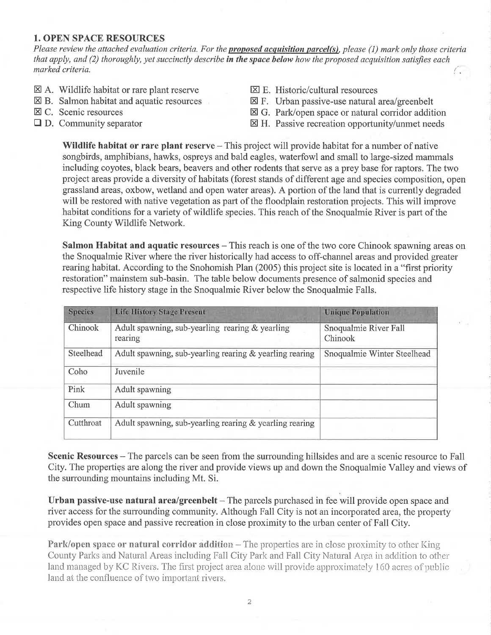#### 1. OPEN SPACE RESOURCES

Please review the attached evaluation criteria. For the **proposed acquisition parcel(s)**, please (1) mark only those criteria that apply, and  $(2)$  thoroughly, yet succinctly describe in the space below how the proposed acquisition satisfies each  $\frac{1}{2}$  marked criteria.

- $\boxtimes$  A. Wildlife habitat or rare plant reserve
- $\boxtimes$  B. Salmon habitat and aquatic resources
- $\boxtimes$  C. Scenic resources
- $\Box$  D. Community separator
- $\boxtimes$  E. Historic/cultural resources
- $\boxtimes$  F. Urban passive-use natural area/greenbelt
- $\boxtimes$  G. Park/open space or natural corridor addition
- $\boxtimes$  H. Passive recreation opportunity/unmet needs

Wildlife habitat or rare plant reserve – This project will provide habitat for a number of native songbirds, amphibians, hawks, ospreys and bald eagles, waterfowl and small to large-sized mammals including coyotes, black bears, beavers and other rodents that serve as a prey base for raptors. The two project areas provide a diversity of habitats (forest stands of different age and species composition, open grassland areas, oxbow, wetland and open water areas). A portion of the land that is currently degraded will be restored with native vegetation as part of the floodplain restoration projects. This will improve habitat conditions for a variety of wildlife species. This reach of the Snoqualmie River is part of the King County Wildlife Network.

Salmon Habitat and aquatic resources – This reach is one of the two core Chinook spawning areas on the Snoqualmie River where the river historically had access to off-channel areas and provided greater rearing habitat. According to the Snohomish Plan (2005) this project site is located in a "first priority restoration" mainstem sub-basin. The table below documents presence of salmonid species and respective life history stage in the Snoqualmie River below the Snoqualmie Falls.

| <b>Species</b> | <b>Life History Stage Present</b>                          | <b>Unique Population</b>         |
|----------------|------------------------------------------------------------|----------------------------------|
| Chinook        | Adult spawning, sub-yearling rearing & yearling<br>rearing | Snoqualmie River Fall<br>Chinook |
| Steelhead      | Adult spawning, sub-yearling rearing & yearling rearing    | Snoqualmie Winter Steelhead      |
| Coho           | Juvenile                                                   |                                  |
| Pink           | Adult spawning                                             |                                  |
| Chum           | Adult spawning                                             |                                  |
| Cutthroat      | Adult spawning, sub-yearling rearing & yearling rearing    |                                  |

Scenic Resources – The parcels can be seen from the surrounding hillsides and are a scenic resource to Fall City. The properties are along the river and provide views up and down the Snoqualmie Valley and views of the surrounding mountains including Mt. Si.

Urban passive-use natural area/greenbelt  $-$  The parcels purchased in fee will provide open space and river access for the surrounding community. Although Fall City is not an incorporated area, the property provides open space and passive recreation in close proximity to the urban center of Fall City.

Park/open space or natural corridor addition – The properties are in close proximity to other King County Parks and Natural Areas including Fall City Park and Fall City Natural Arga- in addition to other land managed by KC Rivers. The first project area-alone will provide approximately 160 acres of public land at the confluence of two important rivers.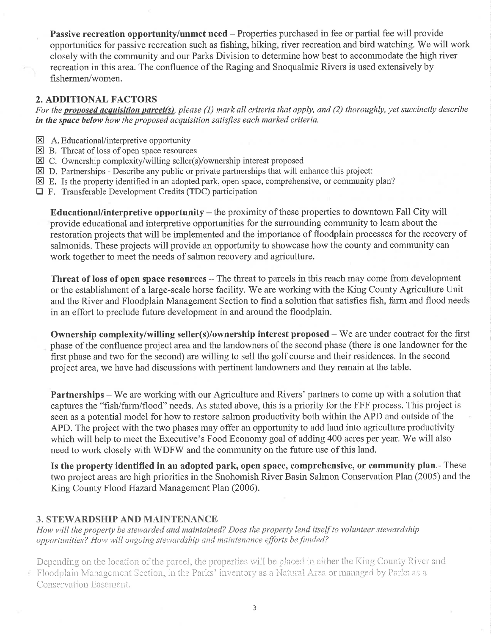Passive recreation opportunity/unmet need - Properties purchased in fee or partial fee will provide opportunities for passive recreation such as fishing, hiking, river recreation and bird watching. We will work closely with the community and our Parks Division to determine how best to accommodate the high river recreation in this area. The confluence of the Raging and Snoqualmie Rivers is used extensively by fishermen/women.

## 2. ADDITIONAL FACTORS

For the **proposed acquisition parcel(s)**, please (1) mark all criteria that apply, and (2) thoroughly, yet succinctly describe in the space below how the proposed acquisition satisfies each marked criteria.

- $\boxtimes$  A. Educational/interpretive opportunity
- $\boxtimes$  B. Threat of loss of open space resources
- $\boxtimes$  C. Ownership complexity/willing seller(s)/ownership interest proposed
- $\boxtimes$  D. Partnerships Describe any public or private partnerships that will enhance this project:
- $\boxtimes$  E. Is the property identified in an adopted park, open space, comprehensive, or community plan?
- $\Box$  F. Transferable Development Credits (TDC) participation

Educational/interpretive opportunity  $-$  the proximity of these properties to downtown Fall City will provide educational and interpretive opportunities for the surrounding community to learn about the restoration projects that will be implemented and the importance of floodplain processes for the recovery of salmonids. These projects will provide an opportunity to showcase how the county and community can work together to meet the needs of salmon recovery and agriculture.

Threat of loss of open space resources – The threat to parcels in this reach may come from development or the establishment of a large-scale horse facility. We are working with the King County Agriculture Unit and the River and Floodplain Management Section to find a solution that satisfies fish, farm and flood needs in an effort to preclude future development in and around the floodplain.

**Ownership complexity/willing seller(s)/ownership interest proposed**  $-$  We are under contract for the first phase of the confluence project area and the landowners of the second phase (there is one landowner for the first phase and two for the second) are willing to sell the golf course and their residences. In the second project area, we have had discussions with pertinent landowners and they remain at the table.

Partnerships – We are working with our Agriculture and Rivers' partners to come up with a solution that captures the "fish/fann/flood" needs. As stated above, this is a priority for the FFF process. This project is seen as a potential model for how to restore salmon productivity both within the APD and outside of the APD. The project with the two phases may offer an opportunity to add land into agriculture productivity which will help to meet the Executive's Food Economy goal of adding 400 acres per year. We will also need to work closely with WDFW and the community on the future use of this land.

Is the property identified in an adopted park, open space, comprehensive, or community plan.- These two project areas are high priorities in the Snohomish River Basin Salmon Conservation Plan (2005) and the King County Flood Hazard Management Plan (2006).

## 3. STEWARDSHIP AND MAINTENANCE

ខ

How will the property be stewarded and maintained? Does the property lend itself to volunteer stewardship opportunities? How will ongoing stewardship and maintenance efforts be funded?

Depending on the location of the parcel, the properties will be placed in cither the King County River and Floodplain Management Section, in the Parks' inventory as a Natural Area or managed by Parks as a Conservation Easement.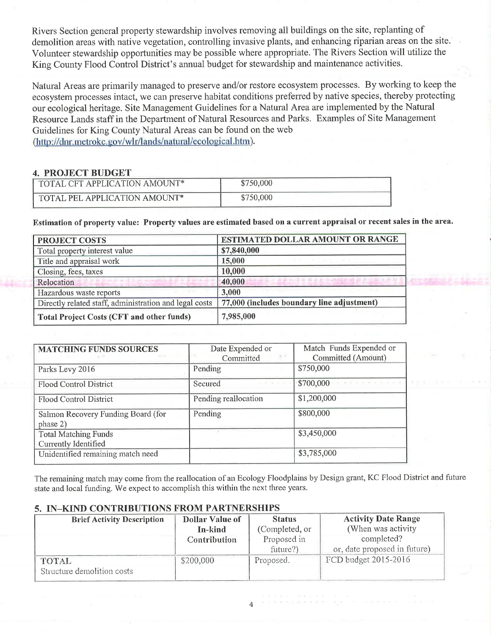Rivers Section general property stewardship involves removing all buildings on the site, replanting of demolition areas with native vegetation, controlling invasive plants, and enhancing riparian areas on the site. Volunteer stewardship opportunities may be possible where appropriate. The Rivers Section will utilize the King County Flood Control District's annual budget for stewardship and maintenance activities.

Natural Areas are primarily managed to preserve and/or restore ecosystem processes. By working to keep the ecosystem processes intact, we can preserve habitat conditions preferred by native species, thereby protecting our ecological heritage. Site Management Guidelines for a Natural Area are implemented by the Natural Resource Lands staff in the Department of Natural Resources and Parks. Examples of Site Management Guidelines for King County Natural Areas can be found on the web (http://dnr.metrokc.gov/wlr/lands/natural/ecological.htm).

#### 4. PROJECT BUDGET

| TOTAL CFT APPLICATION AMOUNT* | \$750,000 |
|-------------------------------|-----------|
| TOTAL PEL APPLICATION AMOUNT* | \$750,000 |

Estimation of property value: Property values are estimated based on a current appraisal or recent sales in the area.

| <b>PROJECT COSTS</b>                                                                        | <b>ESTIMATED DOLLAR AMOUNT OR RANGE</b>                    |  |  |
|---------------------------------------------------------------------------------------------|------------------------------------------------------------|--|--|
| Total property interest value                                                               | \$7,840,000                                                |  |  |
| Title and appraisal work                                                                    | 15,000                                                     |  |  |
| Closing, fees, taxes                                                                        | 10,000                                                     |  |  |
| and the case of the manufacturer of<br>Relocation<br><b>STATISTICS</b> IN THE REAL PROPERTY | A V A R ALLEN A R & A R ANCORA R AT A ASK WALLET<br>40,000 |  |  |
| Hazardous waste reports                                                                     | 3,000                                                      |  |  |
| Directly related staff, administration and legal costs                                      | 77,000 (includes boundary line adjustment)                 |  |  |
| Total Project Costs (CFT and other funds)                                                   | 7,985,000                                                  |  |  |

| <b>MATCHING FUNDS SOURCES</b>                       | Date Expended or<br>Committed | Match Funds Expended or<br>Committed (Amount) |
|-----------------------------------------------------|-------------------------------|-----------------------------------------------|
| Parks Levy 2016                                     | Pending                       | \$750,000                                     |
| <b>Flood Control District</b>                       | Secured                       | \$700,000                                     |
| Flood Control District                              | Pending reallocation          | \$1,200,000                                   |
| Salmon Recovery Funding Board (for<br>phase 2)      | Pending                       | \$800,000                                     |
| <b>Total Matching Funds</b><br>Currently Identified |                               | \$3,450,000                                   |
| Unidentified remaining match need                   |                               | \$3,785,000                                   |

The remaining match may come from the reallocation of an Ecology Floodplains by Design grant, KC Flood District and future state and local funding. We expect to accornplish this within the next three years.

#### 5. IN\_KIND CONTRIBUTIONS FROM PARTNERSHIPS

| <b>Brief Activity Description</b> | <b>Dollar Value of</b> | <b>Status</b>  | <b>Activity Date Range</b>   |
|-----------------------------------|------------------------|----------------|------------------------------|
|                                   | In-kind                | (Completed, or | (When was activity)          |
|                                   | Contribution           | Proposed in    | completed?                   |
|                                   |                        | future?)       | or, date proposed in future) |
| TOTAL                             | \$200,000              | Proposed.      | FCD budget 2015-2016         |
| Structure demolition costs        |                        |                |                              |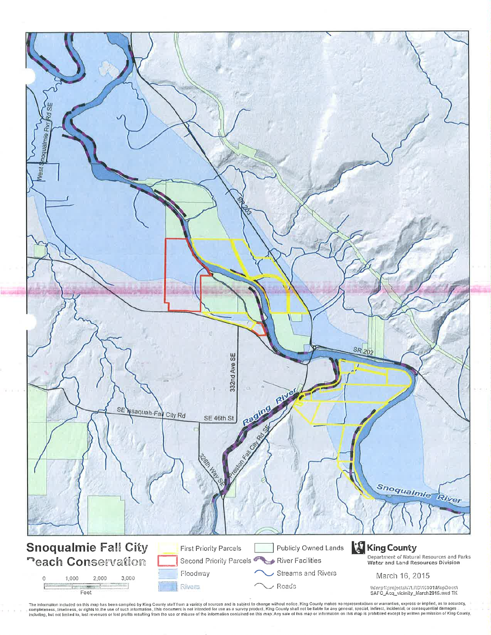

The information included on this map has been compiled by King County staff from a variely of sources and is subject to change without notice. King County makes no representations or warranties, express or implied, as to a